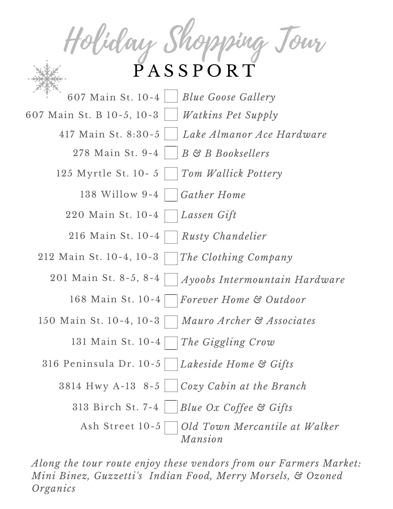Main St. 10-4 *Forever Home & Outdoor* Main St. 10-4 *The Giggling Crow* Birch St. 7-4 *Blue Ox Coffee & Gifts* Main St. 10-4 *Blue Goose Gallery* Holiday Shopping Tour P A S S P O R T Main St. 9-4 *B & B Booksellers* Myrtle St. 10- 5 *Tom Wallick Pottery* Willow 9-4 *Gather Home* Main St. 10-4 *Lassen Gift* Main St. 10-4 *Rusty Chandelier* Main St. 10-4, 10-3 *The Clothing Company Ayoobs Intermountain Hardware* 201 Main St. 8-5, 8-4 Main St. 10-4, 10-3 *Mauro Archer & Associates* Peninsula Dr. 10-5 *Lakeside Home & Gifts* Hwy A-13 8-5 *Cozy Cabin at the Branch* Main St. B 10-5, 10-3 *Watkins Pet Supply Old Town Mercantile at Walker Mansion* Ash Street 10-5 Main St. 8:30-5 *Lake Almanor Ace Hardware*

*Along the tour route enjoy these vendors from our Farmers Market: Mini Binez, Guzzetti's Indian Food, Merry Morsels, & Ozoned Organics*